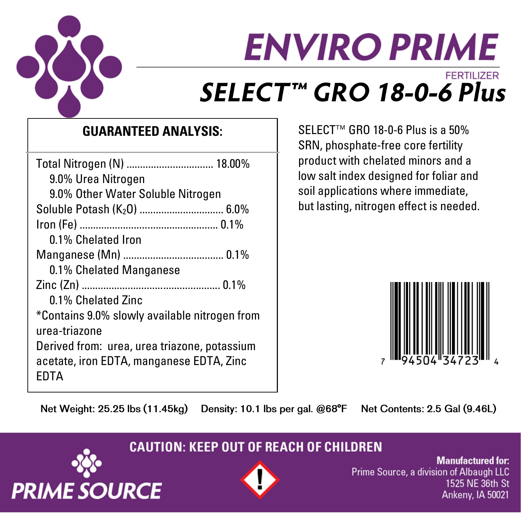

# **ENVIRO PRIME FERTILIZER** SELECT™ GRO 18-0-6 Plus

## **GUARANTEED ANALYSIS:**

| 9.0% Urea Nitrogen                                                                       |
|------------------------------------------------------------------------------------------|
| 9.0% Other Water Soluble Nitrogen                                                        |
| Soluble Potash (K <sub>2</sub> O)  6.0%                                                  |
|                                                                                          |
| 0.1% Chelated Iron                                                                       |
|                                                                                          |
| 0.1% Chelated Manganese                                                                  |
|                                                                                          |
| 0.1% Chelated Zinc                                                                       |
| *Contains 9.0% slowly available nitrogen from                                            |
| urea-triazone                                                                            |
| Derived from: urea, urea triazone, potassium<br>acetate, iron EDTA, manganese EDTA, Zinc |
| FDTA                                                                                     |

 $SEI$  FCT<sup>™</sup> GRO 18-0-6 Plus is a 50% SRN, phosphate-free core fertility product with chelated minors and a low salt index designed for foliar and soil applications where immediate, but lasting, nitrogen effect is needed.



Net Weight: 25.25 lbs (11.45kg) Density: 10.1 lbs per gal. @68°F

Net Contents: 2.5 Gal (9.46L)

### **CAUTION: KEEP OUT OF REACH OF CHILDREN**





**Manufactured for:** Prime Source, a division of Albaugh LLC 1525 NE 36th St Ankeny, IA 50021